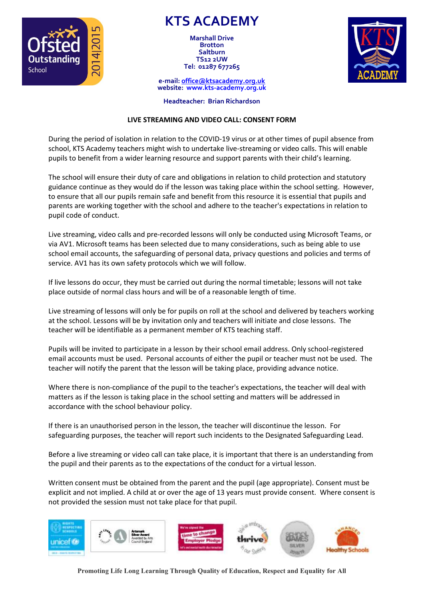

**KTS ACADEMY**

**Marshall Drive Brotton Saltburn TS12 2UW Tel: 01287 677265**



**e-mail: [office@ktsacademy.org.uk](mailto:office@ktsacademy.org.uk) website: www.kts-academy.org.uk**

**Headteacher: Brian Richardson**

## **LIVE STREAMING AND VIDEO CALL: CONSENT FORM**

During the period of isolation in relation to the COVID-19 virus or at other times of pupil absence from school, KTS Academy teachers might wish to undertake live-streaming or video calls. This will enable pupils to benefit from a wider learning resource and support parents with their child's learning.

The school will ensure their duty of care and obligations in relation to child protection and statutory guidance continue as they would do if the lesson was taking place within the school setting. However, to ensure that all our pupils remain safe and benefit from this resource it is essential that pupils and parents are working together with the school and adhere to the teacher's expectations in relation to pupil code of conduct.

Live streaming, video calls and pre-recorded lessons will only be conducted using Microsoft Teams, or via AV1. Microsoft teams has been selected due to many considerations, such as being able to use school email accounts, the safeguarding of personal data, privacy questions and policies and terms of service. AV1 has its own safety protocols which we will follow.

If live lessons do occur, they must be carried out during the normal timetable; lessons will not take place outside of normal class hours and will be of a reasonable length of time.

Live streaming of lessons will only be for pupils on roll at the school and delivered by teachers working at the school. Lessons will be by invitation only and teachers will initiate and close lessons. The teacher will be identifiable as a permanent member of KTS teaching staff.

Pupils will be invited to participate in a lesson by their school email address. Only school-registered email accounts must be used. Personal accounts of either the pupil or teacher must not be used. The teacher will notify the parent that the lesson will be taking place, providing advance notice.

Where there is non-compliance of the pupil to the teacher's expectations, the teacher will deal with matters as if the lesson is taking place in the school setting and matters will be addressed in accordance with the school behaviour policy.

If there is an unauthorised person in the lesson, the teacher will discontinue the lesson. For safeguarding purposes, the teacher will report such incidents to the Designated Safeguarding Lead.

Before a live streaming or video call can take place, it is important that there is an understanding from the pupil and their parents as to the expectations of the conduct for a virtual lesson.

Written consent must be obtained from the parent and the pupil (age appropriate). Consent must be explicit and not implied. A child at or over the age of 13 years must provide consent. Where consent is not provided the session must not take place for that pupil.



**Promoting Life Long Learning Through Quality of Education, Respect and Equality for All**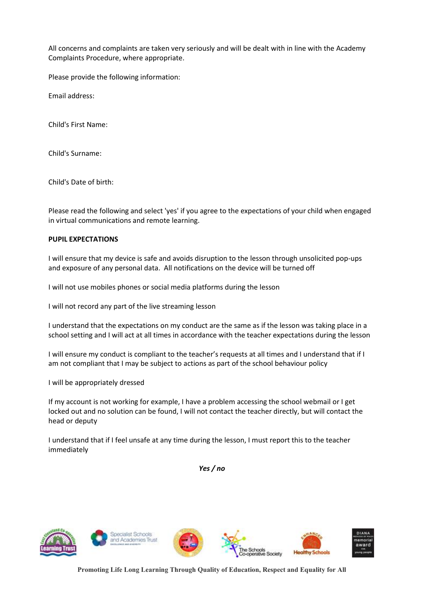All concerns and complaints are taken very seriously and will be dealt with in line with the Academy Complaints Procedure, where appropriate.

Please provide the following information:

Email address:

Child's First Name:

Child's Surname:

Child's Date of birth:

Please read the following and select 'yes' if you agree to the expectations of your child when engaged in virtual communications and remote learning.

## **PUPIL EXPECTATIONS**

I will ensure that my device is safe and avoids disruption to the lesson through unsolicited pop-ups and exposure of any personal data. All notifications on the device will be turned off

I will not use mobiles phones or social media platforms during the lesson

I will not record any part of the live streaming lesson

I understand that the expectations on my conduct are the same as if the lesson was taking place in a school setting and I will act at all times in accordance with the teacher expectations during the lesson

I will ensure my conduct is compliant to the teacher's requests at all times and I understand that if I am not compliant that I may be subject to actions as part of the school behaviour policy

I will be appropriately dressed

If my account is not working for example, I have a problem accessing the school webmail or I get locked out and no solution can be found, I will not contact the teacher directly, but will contact the head or deputy

I understand that if I feel unsafe at any time during the lesson, I must report this to the teacher immediately

*Yes / no*



**Promoting Life Long Learning Through Quality of Education, Respect and Equality for All**